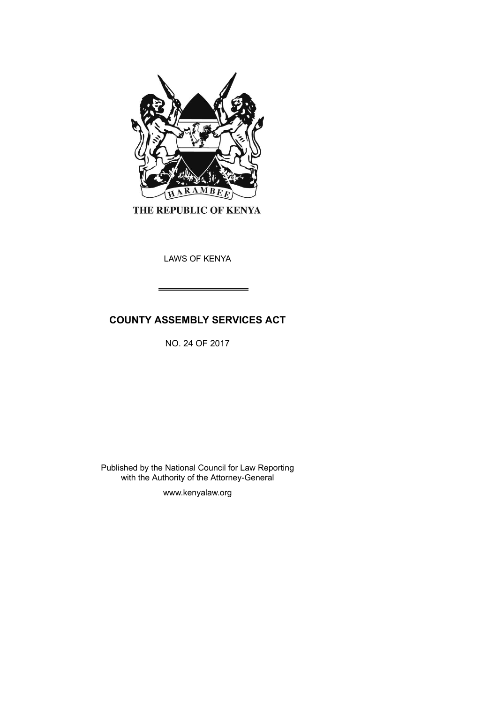

THE REPUBLIC OF KENYA

LAWS OF KENYA

# **COUNTY ASSEMBLY SERVICES ACT**

NO. 24 OF 2017

Published by the National Council for Law Reporting with the Authority of the Attorney-General

www.kenyalaw.org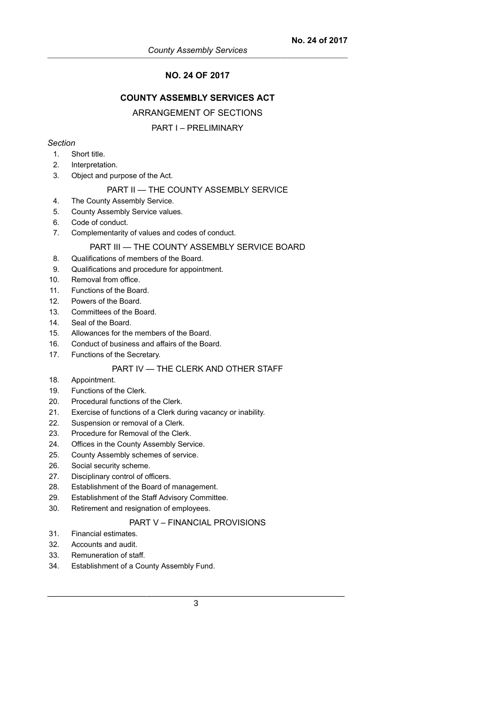## **NO. 24 OF 2017**

## **COUNTY ASSEMBLY SERVICES ACT**

#### ARRANGEMENT OF SECTIONS

### PART I – PRELIMINARY

#### *Section*

- 1. Short title.
- 2. Interpretation.
- 3. Object and purpose of the Act.

#### PART II - THE COUNTY ASSEMBLY SERVICE

- 4. The County Assembly Service.
- 5. County Assembly Service values.
- 6. Code of conduct.
- 7. Complementarity of values and codes of conduct.

#### PART III — THE COUNTY ASSEMBLY SERVICE BOARD

- 8. Qualifications of members of the Board.
- 9. Qualifications and procedure for appointment.
- 10. Removal from office.
- 11. Functions of the Board.
- 12. Powers of the Board.
- 13. Committees of the Board.
- 14. Seal of the Board.
- 15. Allowances for the members of the Board.
- 16. Conduct of business and affairs of the Board.
- 17. Functions of the Secretary.

## PART IV — THE CLERK AND OTHER STAFF

- 18. Appointment.
- 19. Functions of the Clerk.
- 20. Procedural functions of the Clerk.
- 21. Exercise of functions of a Clerk during vacancy or inability.
- 22. Suspension or removal of a Clerk.
- 23. Procedure for Removal of the Clerk.
- 24. Offices in the County Assembly Service.
- 25. County Assembly schemes of service.
- 26. Social security scheme.
- 27. Disciplinary control of officers.
- 28. Establishment of the Board of management.
- 29. Establishment of the Staff Advisory Committee.
- 30. Retirement and resignation of employees.

### PART V – FINANCIAL PROVISIONS

- 31. Financial estimates.
- 32. Accounts and audit.
- 33. Remuneration of staff.
- 34. Establishment of a County Assembly Fund.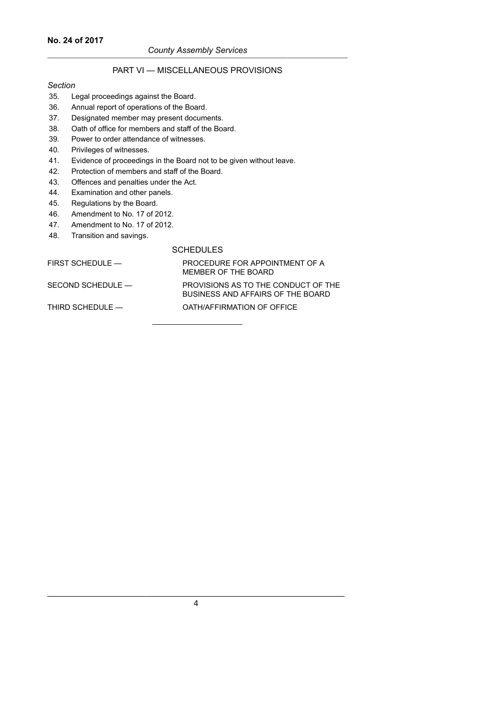#### **No. 24 of 2017**

#### *County Assembly Services*

## PART VI — MISCELLANEOUS PROVISIONS

#### *Section*

- 35. Legal proceedings against the Board.
- 36. Annual report of operations of the Board.
- 37. Designated member may present documents.
- 38. Oath of office for members and staff of the Board.
- 39. Power to order attendance of witnesses.
- 40. Privileges of witnesses.
- 41. Evidence of proceedings in the Board not to be given without leave.
- 42. Protection of members and staff of the Board.
- 43. Offences and penalties under the Act.
- 44. Examination and other panels.
- 45. Regulations by the Board.
- 46. Amendment to No. 17 of 2012.
- 47. Amendment to No. 17 of 2012.
- 48. Transition and savings.

#### SCHEDULES

| FIRST SCHEDULE —  | PROCEDURE FOR APPOINTMENT OF A<br>MEMBER OF THE BOARD                    |
|-------------------|--------------------------------------------------------------------------|
| SECOND SCHEDULE — | PROVISIONS AS TO THE CONDUCT OF THE<br>BUSINESS AND AFFAIRS OF THE BOARD |
| THIRD SCHEDULE —  | OATH/AFFIRMATION OF OFFICE                                               |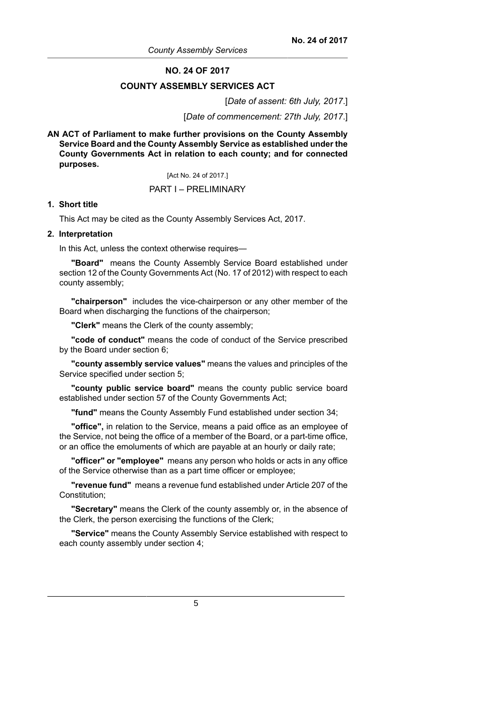#### **NO. 24 OF 2017**

#### **COUNTY ASSEMBLY SERVICES ACT**

[*Date of assent: 6th July, 2017*.]

[*Date of commencement: 27th July, 2017*.]

**AN ACT of Parliament to make further provisions on the County Assembly Service Board and the County Assembly Service as established under the County Governments Act in relation to each county; and for connected purposes.**

[Act No. 24 of 2017.]

### PART I – PRELIMINARY

#### **1. Short title**

This Act may be cited as the County Assembly Services Act, 2017.

#### **2. Interpretation**

In this Act, unless the context otherwise requires—

**"Board"** means the County Assembly Service Board established under section 12 of the County Governments Act (No. 17 of 2012) with respect to each county assembly;

**"chairperson"** includes the vice-chairperson or any other member of the Board when discharging the functions of the chairperson;

**"Clerk"** means the Clerk of the county assembly;

**"code of conduct"** means the code of conduct of the Service prescribed by the Board under section 6;

**"county assembly service values"** means the values and principles of the Service specified under section 5;

**"county public service board"** means the county public service board established under section 57 of the County Governments Act;

**"fund"** means the County Assembly Fund established under section 34;

**"office",** in relation to the Service, means a paid office as an employee of the Service, not being the office of a member of the Board, or a part-time office, or an office the emoluments of which are payable at an hourly or daily rate;

**"officer" or "employee"** means any person who holds or acts in any office of the Service otherwise than as a part time officer or employee;

**"revenue fund"** means a revenue fund established under Article 207 of the Constitution;

**"Secretary"** means the Clerk of the county assembly or, in the absence of the Clerk, the person exercising the functions of the Clerk;

**"Service"** means the County Assembly Service established with respect to each county assembly under section 4;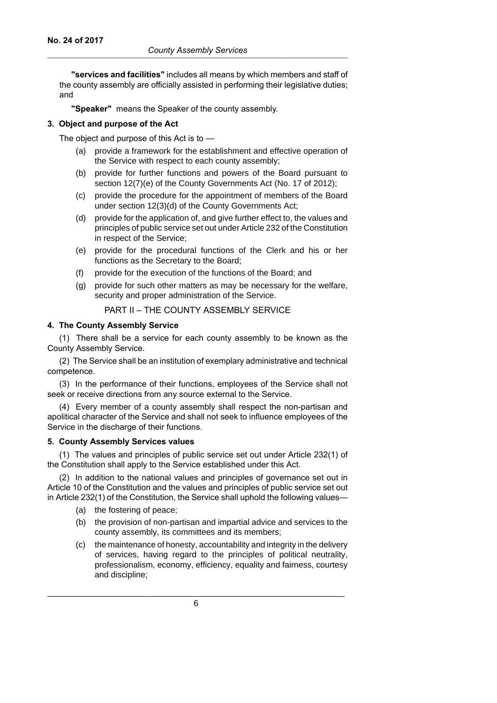**"services and facilities"** includes all means by which members and staff of the county assembly are officially assisted in performing their legislative duties; and

**"Speaker"** means the Speaker of the county assembly.

### **3. Object and purpose of the Act**

The object and purpose of this Act is to —

- (a) provide a framework for the establishment and effective operation of the Service with respect to each county assembly;
- (b) provide for further functions and powers of the Board pursuant to section 12(7)(e) of the County Governments Act (No. 17 of 2012):
- (c) provide the procedure for the appointment of members of the Board under section 12(3)(d) of the County Governments Act;
- (d) provide for the application of, and give further effect to, the values and principles of public service set out under Article 232 of the Constitution in respect of the Service;
- (e) provide for the procedural functions of the Clerk and his or her functions as the Secretary to the Board;
- (f) provide for the execution of the functions of the Board; and
- (g) provide for such other matters as may be necessary for the welfare, security and proper administration of the Service.

## PART II – THE COUNTY ASSEMBLY SERVICE

### **4. The County Assembly Service**

(1) There shall be a service for each county assembly to be known as the County Assembly Service.

(2) The Service shall be an institution of exemplary administrative and technical competence.

(3) In the performance of their functions, employees of the Service shall not seek or receive directions from any source external to the Service.

(4) Every member of a county assembly shall respect the non-partisan and apolitical character of the Service and shall not seek to influence employees of the Service in the discharge of their functions.

#### **5. County Assembly Services values**

(1) The values and principles of public service set out under Article 232(1) of the Constitution shall apply to the Service established under this Act.

(2) In addition to the national values and principles of governance set out in Article 10 of the Constitution and the values and principles of public service set out in Article 232(1) of the Constitution, the Service shall uphold the following values—

- (a) the fostering of peace;
- (b) the provision of non-partisan and impartial advice and services to the county assembly, its committees and its members;
- (c) the maintenance of honesty, accountability and integrity in the delivery of services, having regard to the principles of political neutrality, professionalism, economy, efficiency, equality and fairness, courtesy and discipline;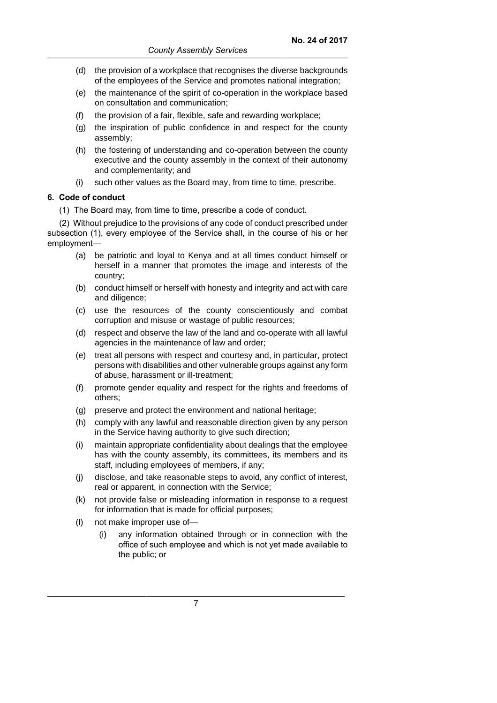- (d) the provision of a workplace that recognises the diverse backgrounds of the employees of the Service and promotes national integration;
- (e) the maintenance of the spirit of co-operation in the workplace based on consultation and communication;
- (f) the provision of a fair, flexible, safe and rewarding workplace;
- (g) the inspiration of public confidence in and respect for the county assembly;
- (h) the fostering of understanding and co-operation between the county executive and the county assembly in the context of their autonomy and complementarity; and
- (i) such other values as the Board may, from time to time, prescribe.

## **6. Code of conduct**

(1) The Board may, from time to time, prescribe a code of conduct.

(2) Without prejudice to the provisions of any code of conduct prescribed under subsection (1), every employee of the Service shall, in the course of his or her employment—

- (a) be patriotic and loyal to Kenya and at all times conduct himself or herself in a manner that promotes the image and interests of the country;
- (b) conduct himself or herself with honesty and integrity and act with care and diligence;
- (c) use the resources of the county conscientiously and combat corruption and misuse or wastage of public resources;
- (d) respect and observe the law of the land and co-operate with all lawful agencies in the maintenance of law and order;
- (e) treat all persons with respect and courtesy and, in particular, protect persons with disabilities and other vulnerable groups against any form of abuse, harassment or ill-treatment;
- (f) promote gender equality and respect for the rights and freedoms of others;
- (g) preserve and protect the environment and national heritage;
- (h) comply with any lawful and reasonable direction given by any person in the Service having authority to give such direction;
- (i) maintain appropriate confidentiality about dealings that the employee has with the county assembly, its committees, its members and its staff, including employees of members, if any;
- (j) disclose, and take reasonable steps to avoid, any conflict of interest, real or apparent, in connection with the Service;
- (k) not provide false or misleading information in response to a request for information that is made for official purposes;
- (l) not make improper use of—
	- (i) any information obtained through or in connection with the office of such employee and which is not yet made available to the public; or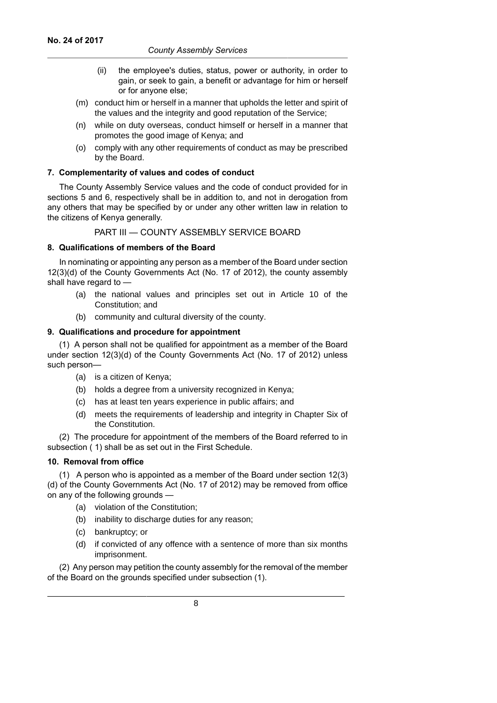- (ii) the employee's duties, status, power or authority, in order to gain, or seek to gain, a benefit or advantage for him or herself or for anyone else;
- (m) conduct him or herself in a manner that upholds the letter and spirit of the values and the integrity and good reputation of the Service;
- (n) while on duty overseas, conduct himself or herself in a manner that promotes the good image of Kenya; and
- (o) comply with any other requirements of conduct as may be prescribed by the Board.

## **7. Complementarity of values and codes of conduct**

The County Assembly Service values and the code of conduct provided for in sections 5 and 6, respectively shall be in addition to, and not in derogation from any others that may be specified by or under any other written law in relation to the citizens of Kenya generally.

PART III — COUNTY ASSEMBLY SERVICE BOARD

## **8. Qualifications of members of the Board**

In nominating or appointing any person as a member of the Board under section 12(3)(d) of the County Governments Act (No. 17 of 2012), the county assembly shall have regard to —

- (a) the national values and principles set out in Article 10 of the Constitution; and
- (b) community and cultural diversity of the county.

## **9. Qualifications and procedure for appointment**

(1) A person shall not be qualified for appointment as a member of the Board under section 12(3)(d) of the County Governments Act (No. 17 of 2012) unless such person—

- (a) is a citizen of Kenya;
- (b) holds a degree from a university recognized in Kenya;
- (c) has at least ten years experience in public affairs; and
- (d) meets the requirements of leadership and integrity in Chapter Six of the Constitution.

(2) The procedure for appointment of the members of the Board referred to in subsection ( 1) shall be as set out in the First Schedule.

## **10. Removal from office**

(1) A person who is appointed as a member of the Board under section 12(3) (d) of the County Governments Act (No. 17 of 2012) may be removed from office on any of the following grounds —

- (a) violation of the Constitution;
- (b) inability to discharge duties for any reason;
- (c) bankruptcy; or
- (d) if convicted of any offence with a sentence of more than six months imprisonment.

(2) Any person may petition the county assembly for the removal of the member of the Board on the grounds specified under subsection (1).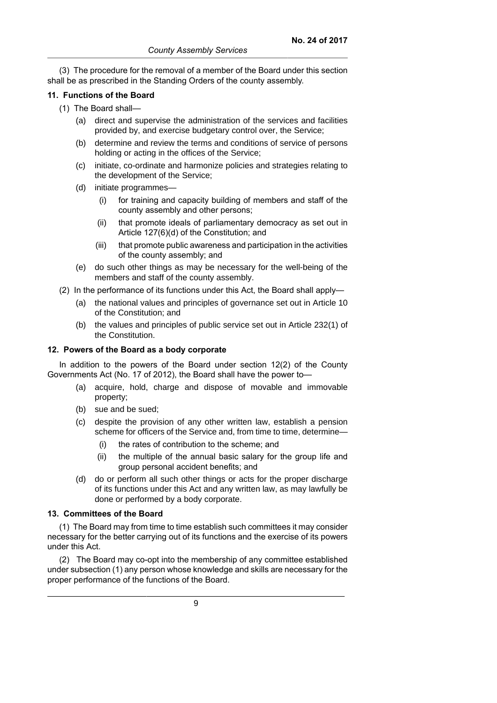(3) The procedure for the removal of a member of the Board under this section shall be as prescribed in the Standing Orders of the county assembly.

### **11. Functions of the Board**

- (1) The Board shall—
	- (a) direct and supervise the administration of the services and facilities provided by, and exercise budgetary control over, the Service;
	- (b) determine and review the terms and conditions of service of persons holding or acting in the offices of the Service;
	- (c) initiate, co-ordinate and harmonize policies and strategies relating to the development of the Service;
	- (d) initiate programmes—
		- (i) for training and capacity building of members and staff of the county assembly and other persons;
		- (ii) that promote ideals of parliamentary democracy as set out in Article 127(6)(d) of the Constitution; and
		- (iii) that promote public awareness and participation in the activities of the county assembly; and
	- (e) do such other things as may be necessary for the well-being of the members and staff of the county assembly.
- (2) In the performance of its functions under this Act, the Board shall apply—
	- (a) the national values and principles of governance set out in Article 10 of the Constitution; and
	- (b) the values and principles of public service set out in Article 232(1) of the Constitution.

### **12. Powers of the Board as a body corporate**

In addition to the powers of the Board under section 12(2) of the County Governments Act (No. 17 of 2012), the Board shall have the power to—

- (a) acquire, hold, charge and dispose of movable and immovable property;
- (b) sue and be sued;
- (c) despite the provision of any other written law, establish a pension scheme for officers of the Service and, from time to time, determine—
	- (i) the rates of contribution to the scheme; and
	- (ii) the multiple of the annual basic salary for the group life and group personal accident benefits; and
- (d) do or perform all such other things or acts for the proper discharge of its functions under this Act and any written law, as may lawfully be done or performed by a body corporate.

#### **13. Committees of the Board**

(1) The Board may from time to time establish such committees it may consider necessary for the better carrying out of its functions and the exercise of its powers under this Act.

(2) The Board may co-opt into the membership of any committee established under subsection (1) any person whose knowledge and skills are necessary for the proper performance of the functions of the Board.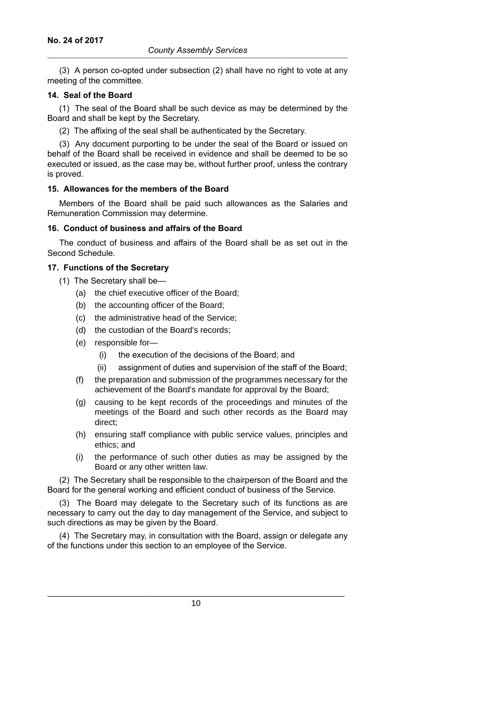(3) A person co-opted under subsection (2) shall have no right to vote at any meeting of the committee.

### **14. Seal of the Board**

(1) The seal of the Board shall be such device as may be determined by the Board and shall be kept by the Secretary.

(2) The affixing of the seal shall be authenticated by the Secretary.

(3) Any document purporting to be under the seal of the Board or issued on behalf of the Board shall be received in evidence and shall be deemed to be so executed or issued, as the case may be, without further proof, unless the contrary is proved.

### **15. Allowances for the members of the Board**

Members of the Board shall be paid such allowances as the Salaries and Remuneration Commission may determine.

### **16. Conduct of business and affairs of the Board**

The conduct of business and affairs of the Board shall be as set out in the Second Schedule.

### **17. Functions of the Secretary**

- (1) The Secretary shall be—
	- (a) the chief executive officer of the Board;
	- (b) the accounting officer of the Board;
	- (c) the administrative head of the Service;
	- (d) the custodian of the Board's records;
	- (e) responsible for—
		- (i) the execution of the decisions of the Board; and
		- (ii) assignment of duties and supervision of the staff of the Board;
	- (f) the preparation and submission of the programmes necessary for the achievement of the Board's mandate for approval by the Board;
	- (g) causing to be kept records of the proceedings and minutes of the meetings of the Board and such other records as the Board may direct;
	- (h) ensuring staff compliance with public service values, principles and ethics; and
	- (i) the performance of such other duties as may be assigned by the Board or any other written law.

(2) The Secretary shall be responsible to the chairperson of the Board and the Board for the general working and efficient conduct of business of the Service.

(3) The Board may delegate to the Secretary such of its functions as are necessary to carry out the day to day management of the Service, and subject to such directions as may be given by the Board.

(4) The Secretary may, in consultation with the Board, assign or delegate any of the functions under this section to an employee of the Service.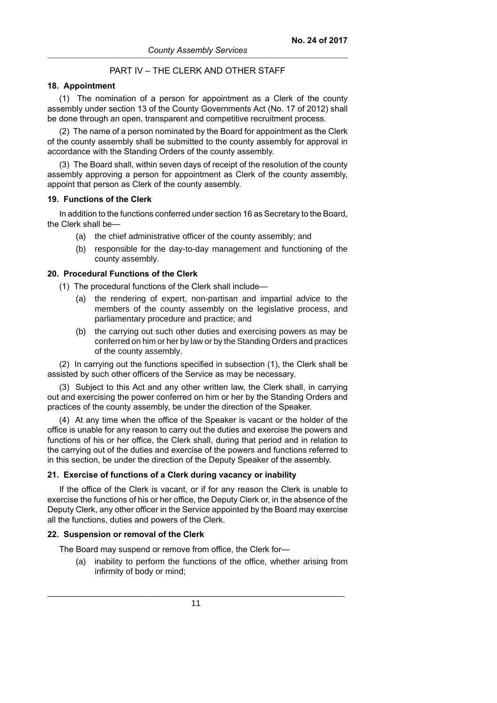## PART IV – THE CLERK AND OTHER STAFF

## **18. Appointment**

(1) The nomination of a person for appointment as a Clerk of the county assembly under section 13 of the County Governments Act (No. 17 of 2012) shall be done through an open, transparent and competitive recruitment process.

(2) The name of a person nominated by the Board for appointment as the Clerk of the county assembly shall be submitted to the county assembly for approval in accordance with the Standing Orders of the county assembly.

(3) The Board shall, within seven days of receipt of the resolution of the county assembly approving a person for appointment as Clerk of the county assembly, appoint that person as Clerk of the county assembly.

#### **19. Functions of the Clerk**

In addition to the functions conferred under section 16 as Secretary to the Board, the Clerk shall be—

- (a) the chief administrative officer of the county assembly; and
- (b) responsible for the day-to-day management and functioning of the county assembly.

#### **20. Procedural Functions of the Clerk**

(1) The procedural functions of the Clerk shall include—

- (a) the rendering of expert, non-partisan and impartial advice to the members of the county assembly on the legislative process, and parliamentary procedure and practice; and
- (b) the carrying out such other duties and exercising powers as may be conferred on him or her by law or by the Standing Orders and practices of the county assembly.

(2) In carrying out the functions specified in subsection (1), the Clerk shall be assisted by such other officers of the Service as may be necessary.

(3) Subject to this Act and any other written law, the Clerk shall, in carrying out and exercising the power conferred on him or her by the Standing Orders and practices of the county assembly, be under the direction of the Speaker.

(4) At any time when the office of the Speaker is vacant or the holder of the office is unable for any reason to carry out the duties and exercise the powers and functions of his or her office, the Clerk shall, during that period and in relation to the carrying out of the duties and exercise of the powers and functions referred to in this section, be under the direction of the Deputy Speaker of the assembly.

#### **21. Exercise of functions of a Clerk during vacancy or inability**

If the office of the Clerk is vacant, or if for any reason the Clerk is unable to exercise the functions of his or her office, the Deputy Clerk or, in the absence of the Deputy Clerk, any other officer in the Service appointed by the Board may exercise all the functions, duties and powers of the Clerk.

#### **22. Suspension or removal of the Clerk**

The Board may suspend or remove from office, the Clerk for—

(a) inability to perform the functions of the office, whether arising from infirmity of body or mind;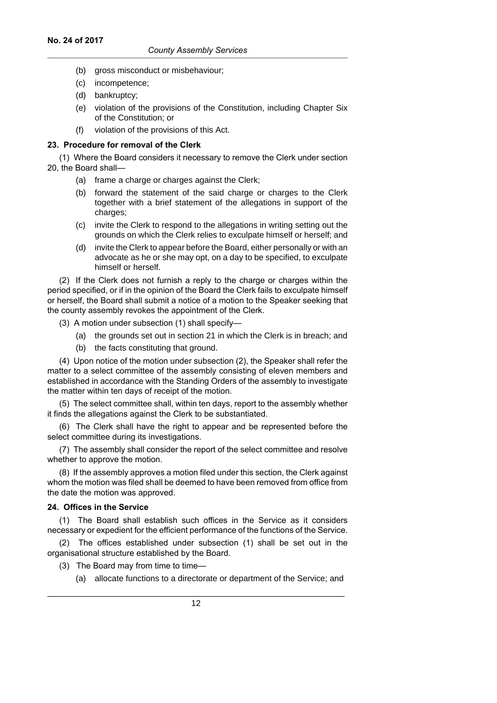- (b) gross misconduct or misbehaviour;
- (c) incompetence;
- (d) bankruptcy;
- (e) violation of the provisions of the Constitution, including Chapter Six of the Constitution; or
- (f) violation of the provisions of this Act.

## **23. Procedure for removal of the Clerk**

(1) Where the Board considers it necessary to remove the Clerk under section 20, the Board shall—

- (a) frame a charge or charges against the Clerk;
- (b) forward the statement of the said charge or charges to the Clerk together with a brief statement of the allegations in support of the charges;
- (c) invite the Clerk to respond to the allegations in writing setting out the grounds on which the Clerk relies to exculpate himself or herself; and
- (d) invite the Clerk to appear before the Board, either personally or with an advocate as he or she may opt, on a day to be specified, to exculpate himself or herself.

(2) If the Clerk does not furnish a reply to the charge or charges within the period specified, or if in the opinion of the Board the Clerk fails to exculpate himself or herself, the Board shall submit a notice of a motion to the Speaker seeking that the county assembly revokes the appointment of the Clerk.

- (3) A motion under subsection (1) shall specify—
	- (a) the grounds set out in section 21 in which the Clerk is in breach; and
	- (b) the facts constituting that ground.

(4) Upon notice of the motion under subsection (2), the Speaker shall refer the matter to a select committee of the assembly consisting of eleven members and established in accordance with the Standing Orders of the assembly to investigate the matter within ten days of receipt of the motion.

(5) The select committee shall, within ten days, report to the assembly whether it finds the allegations against the Clerk to be substantiated.

(6) The Clerk shall have the right to appear and be represented before the select committee during its investigations.

(7) The assembly shall consider the report of the select committee and resolve whether to approve the motion.

(8) If the assembly approves a motion filed under this section, the Clerk against whom the motion was filed shall be deemed to have been removed from office from the date the motion was approved.

### **24. Offices in the Service**

(1) The Board shall establish such offices in the Service as it considers necessary or expedient for the efficient performance of the functions of the Service.

(2) The offices established under subsection (1) shall be set out in the organisational structure established by the Board.

(3) The Board may from time to time—

(a) allocate functions to a directorate or department of the Service; and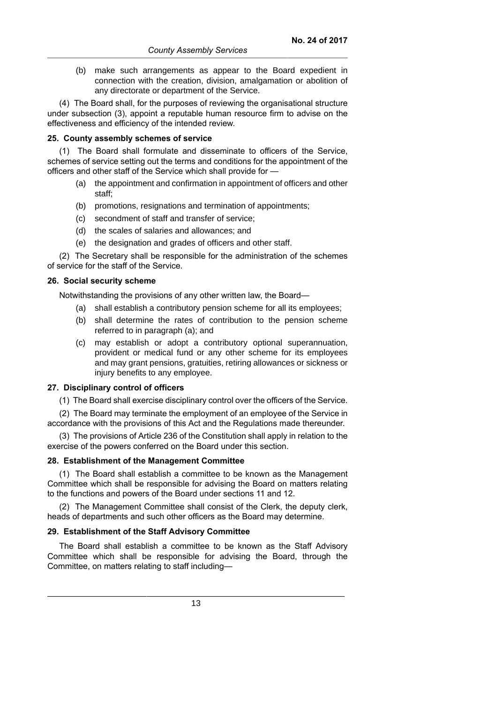(b) make such arrangements as appear to the Board expedient in connection with the creation, division, amalgamation or abolition of any directorate or department of the Service.

(4) The Board shall, for the purposes of reviewing the organisational structure under subsection (3), appoint a reputable human resource firm to advise on the effectiveness and efficiency of the intended review.

#### **25. County assembly schemes of service**

(1) The Board shall formulate and disseminate to officers of the Service, schemes of service setting out the terms and conditions for the appointment of the officers and other staff of the Service which shall provide for —

- (a) the appointment and confirmation in appointment of officers and other staff;
- (b) promotions, resignations and termination of appointments;
- (c) secondment of staff and transfer of service;
- (d) the scales of salaries and allowances; and
- (e) the designation and grades of officers and other staff.

(2) The Secretary shall be responsible for the administration of the schemes of service for the staff of the Service.

#### **26. Social security scheme**

Notwithstanding the provisions of any other written law, the Board—

- (a) shall establish a contributory pension scheme for all its employees;
- (b) shall determine the rates of contribution to the pension scheme referred to in paragraph (a); and
- (c) may establish or adopt a contributory optional superannuation, provident or medical fund or any other scheme for its employees and may grant pensions, gratuities, retiring allowances or sickness or injury benefits to any employee.

## **27. Disciplinary control of officers**

(1) The Board shall exercise disciplinary control over the officers of the Service.

(2) The Board may terminate the employment of an employee of the Service in accordance with the provisions of this Act and the Regulations made thereunder.

(3) The provisions of Article 236 of the Constitution shall apply in relation to the exercise of the powers conferred on the Board under this section.

### **28. Establishment of the Management Committee**

(1) The Board shall establish a committee to be known as the Management Committee which shall be responsible for advising the Board on matters relating to the functions and powers of the Board under sections 11 and 12.

(2) The Management Committee shall consist of the Clerk, the deputy clerk, heads of departments and such other officers as the Board may determine.

#### **29. Establishment of the Staff Advisory Committee**

The Board shall establish a committee to be known as the Staff Advisory Committee which shall be responsible for advising the Board, through the Committee, on matters relating to staff including—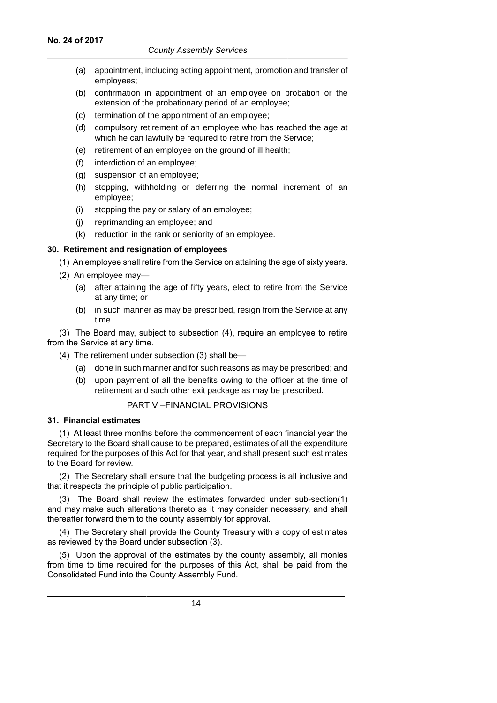- (a) appointment, including acting appointment, promotion and transfer of employees;
- (b) confirmation in appointment of an employee on probation or the extension of the probationary period of an employee;
- (c) termination of the appointment of an employee;
- (d) compulsory retirement of an employee who has reached the age at which he can lawfully be required to retire from the Service;
- (e) retirement of an employee on the ground of ill health;
- (f) interdiction of an employee;
- (g) suspension of an employee;
- (h) stopping, withholding or deferring the normal increment of an employee;
- (i) stopping the pay or salary of an employee;
- (j) reprimanding an employee; and
- (k) reduction in the rank or seniority of an employee.

### **30. Retirement and resignation of employees**

(1) An employee shall retire from the Service on attaining the age of sixty years.

- (2) An employee may—
	- (a) after attaining the age of fifty years, elect to retire from the Service at any time; or
	- (b) in such manner as may be prescribed, resign from the Service at any time.

(3) The Board may, subject to subsection (4), require an employee to retire from the Service at any time.

- (4) The retirement under subsection (3) shall be—
	- (a) done in such manner and for such reasons as may be prescribed; and
	- (b) upon payment of all the benefits owing to the officer at the time of retirement and such other exit package as may be prescribed.

## PART V –FINANCIAL PROVISIONS

#### **31. Financial estimates**

(1) At least three months before the commencement of each financial year the Secretary to the Board shall cause to be prepared, estimates of all the expenditure required for the purposes of this Act for that year, and shall present such estimates to the Board for review.

(2) The Secretary shall ensure that the budgeting process is all inclusive and that it respects the principle of public participation.

(3) The Board shall review the estimates forwarded under sub-section(1) and may make such alterations thereto as it may consider necessary, and shall thereafter forward them to the county assembly for approval.

(4) The Secretary shall provide the County Treasury with a copy of estimates as reviewed by the Board under subsection (3).

(5) Upon the approval of the estimates by the county assembly, all monies from time to time required for the purposes of this Act, shall be paid from the Consolidated Fund into the County Assembly Fund.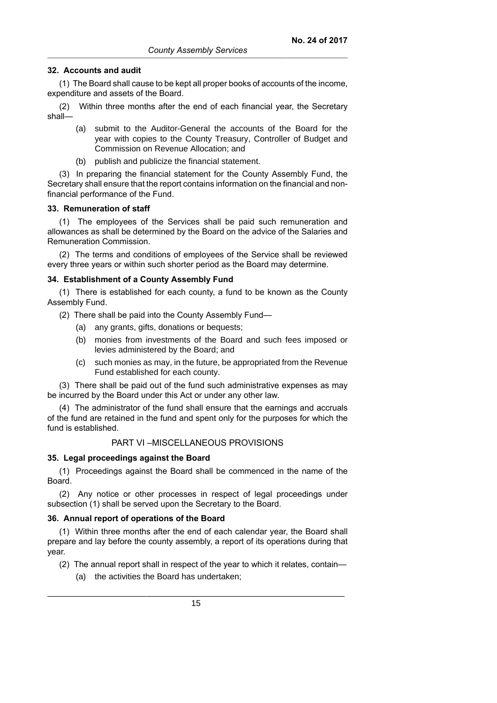### **32. Accounts and audit**

(1) The Board shall cause to be kept all proper books of accounts of the income, expenditure and assets of the Board.

(2) Within three months after the end of each financial year, the Secretary shall—

- (a) submit to the Auditor-General the accounts of the Board for the year with copies to the County Treasury, Controller of Budget and Commission on Revenue Allocation; and
- (b) publish and publicize the financial statement.

(3) In preparing the financial statement for the County Assembly Fund, the Secretary shall ensure that the report contains information on the financial and nonfinancial performance of the Fund.

#### **33. Remuneration of staff**

(1) The employees of the Services shall be paid such remuneration and allowances as shall be determined by the Board on the advice of the Salaries and Remuneration Commission.

(2) The terms and conditions of employees of the Service shall be reviewed every three years or within such shorter period as the Board may determine.

#### **34. Establishment of a County Assembly Fund**

(1) There is established for each county, a fund to be known as the County Assembly Fund.

- (2) There shall be paid into the County Assembly Fund—
	- (a) any grants, gifts, donations or bequests;
	- (b) monies from investments of the Board and such fees imposed or levies administered by the Board; and
	- (c) such monies as may, in the future, be appropriated from the Revenue Fund established for each county.

(3) There shall be paid out of the fund such administrative expenses as may be incurred by the Board under this Act or under any other law.

(4) The administrator of the fund shall ensure that the earnings and accruals of the fund are retained in the fund and spent only for the purposes for which the fund is established.

## PART VI –MISCELLANEOUS PROVISIONS

#### **35. Legal proceedings against the Board**

(1) Proceedings against the Board shall be commenced in the name of the Board.

(2) Any notice or other processes in respect of legal proceedings under subsection (1) shall be served upon the Secretary to the Board.

#### **36. Annual report of operations of the Board**

(1) Within three months after the end of each calendar year, the Board shall prepare and lay before the county assembly, a report of its operations during that year.

- (2) The annual report shall in respect of the year to which it relates, contain—
	- (a) the activities the Board has undertaken;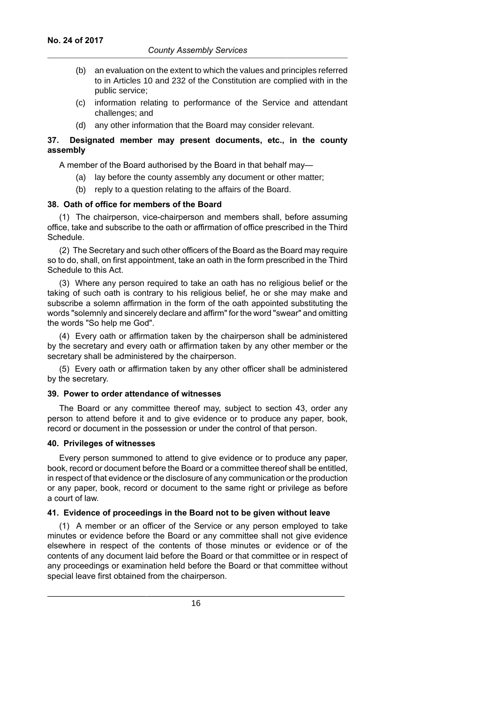- (b) an evaluation on the extent to which the values and principles referred to in Articles 10 and 232 of the Constitution are complied with in the public service;
- (c) information relating to performance of the Service and attendant challenges; and
- (d) any other information that the Board may consider relevant.

## **37. Designated member may present documents, etc., in the county assembly**

A member of the Board authorised by the Board in that behalf may—

- (a) lay before the county assembly any document or other matter;
- (b) reply to a question relating to the affairs of the Board.

### **38. Oath of office for members of the Board**

(1) The chairperson, vice-chairperson and members shall, before assuming office, take and subscribe to the oath or affirmation of office prescribed in the Third Schedule.

(2) The Secretary and such other officers of the Board as the Board may require so to do, shall, on first appointment, take an oath in the form prescribed in the Third Schedule to this Act.

(3) Where any person required to take an oath has no religious belief or the taking of such oath is contrary to his religious belief, he or she may make and subscribe a solemn affirmation in the form of the oath appointed substituting the words "solemnly and sincerely declare and affirm" for the word "swear" and omitting the words "So help me God".

(4) Every oath or affirmation taken by the chairperson shall be administered by the secretary and every oath or affirmation taken by any other member or the secretary shall be administered by the chairperson.

(5) Every oath or affirmation taken by any other officer shall be administered by the secretary.

#### **39. Power to order attendance of witnesses**

The Board or any committee thereof may, subject to section 43, order any person to attend before it and to give evidence or to produce any paper, book, record or document in the possession or under the control of that person.

### **40. Privileges of witnesses**

Every person summoned to attend to give evidence or to produce any paper, book, record or document before the Board or a committee thereof shall be entitled, in respect of that evidence or the disclosure of any communication or the production or any paper, book, record or document to the same right or privilege as before a court of law.

## **41. Evidence of proceedings in the Board not to be given without leave**

(1) A member or an officer of the Service or any person employed to take minutes or evidence before the Board or any committee shall not give evidence elsewhere in respect of the contents of those minutes or evidence or of the contents of any document laid before the Board or that committee or in respect of any proceedings or examination held before the Board or that committee without special leave first obtained from the chairperson.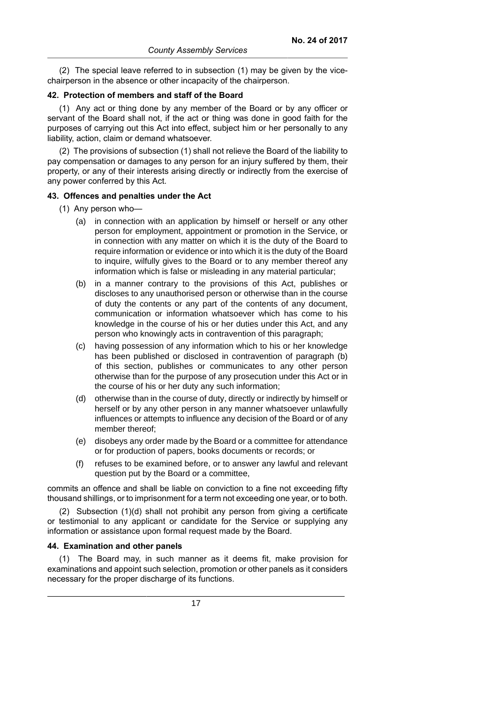(2) The special leave referred to in subsection (1) may be given by the vicechairperson in the absence or other incapacity of the chairperson.

#### **42. Protection of members and staff of the Board**

(1) Any act or thing done by any member of the Board or by any officer or servant of the Board shall not, if the act or thing was done in good faith for the purposes of carrying out this Act into effect, subject him or her personally to any liability, action, claim or demand whatsoever.

(2) The provisions of subsection (1) shall not relieve the Board of the liability to pay compensation or damages to any person for an injury suffered by them, their property, or any of their interests arising directly or indirectly from the exercise of any power conferred by this Act.

#### **43. Offences and penalties under the Act**

- (1) Any person who—
	- (a) in connection with an application by himself or herself or any other person for employment, appointment or promotion in the Service, or in connection with any matter on which it is the duty of the Board to require information or evidence or into which it is the duty of the Board to inquire, wilfully gives to the Board or to any member thereof any information which is false or misleading in any material particular;
	- (b) in a manner contrary to the provisions of this Act, publishes or discloses to any unauthorised person or otherwise than in the course of duty the contents or any part of the contents of any document, communication or information whatsoever which has come to his knowledge in the course of his or her duties under this Act, and any person who knowingly acts in contravention of this paragraph;
	- (c) having possession of any information which to his or her knowledge has been published or disclosed in contravention of paragraph (b) of this section, publishes or communicates to any other person otherwise than for the purpose of any prosecution under this Act or in the course of his or her duty any such information;
	- (d) otherwise than in the course of duty, directly or indirectly by himself or herself or by any other person in any manner whatsoever unlawfully influences or attempts to influence any decision of the Board or of any member thereof;
	- (e) disobeys any order made by the Board or a committee for attendance or for production of papers, books documents or records; or
	- (f) refuses to be examined before, or to answer any lawful and relevant question put by the Board or a committee,

commits an offence and shall be liable on conviction to a fine not exceeding fifty thousand shillings, or to imprisonment for a term not exceeding one year, or to both.

(2) Subsection (1)(d) shall not prohibit any person from giving a certificate or testimonial to any applicant or candidate for the Service or supplying any information or assistance upon formal request made by the Board.

### **44. Examination and other panels**

(1) The Board may, in such manner as it deems fit, make provision for examinations and appoint such selection, promotion or other panels as it considers necessary for the proper discharge of its functions.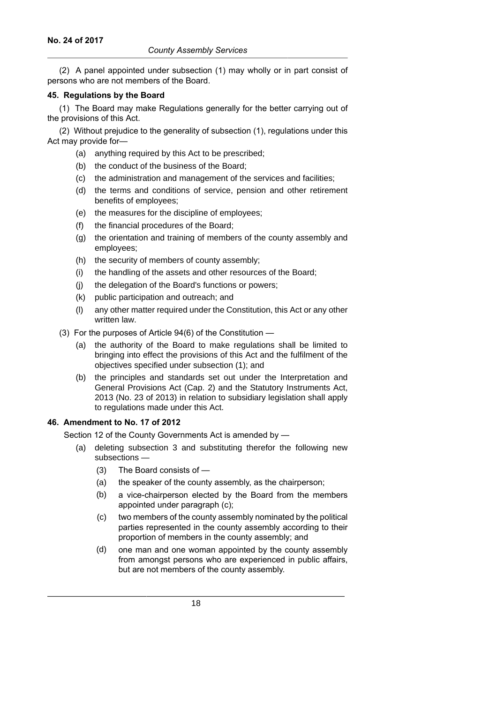(2) A panel appointed under subsection (1) may wholly or in part consist of persons who are not members of the Board.

## **45. Regulations by the Board**

(1) The Board may make Regulations generally for the better carrying out of the provisions of this Act.

(2) Without prejudice to the generality of subsection (1), regulations under this Act may provide for—

- (a) anything required by this Act to be prescribed;
- (b) the conduct of the business of the Board;
- (c) the administration and management of the services and facilities;
- (d) the terms and conditions of service, pension and other retirement benefits of employees;
- (e) the measures for the discipline of employees;
- (f) the financial procedures of the Board;
- (g) the orientation and training of members of the county assembly and employees;
- (h) the security of members of county assembly;
- (i) the handling of the assets and other resources of the Board;
- (j) the delegation of the Board's functions or powers;
- (k) public participation and outreach; and
- (l) any other matter required under the Constitution, this Act or any other written law.
- (3) For the purposes of Article 94(6) of the Constitution
	- (a) the authority of the Board to make regulations shall be limited to bringing into effect the provisions of this Act and the fulfilment of the objectives specified under subsection (1); and
	- (b) the principles and standards set out under the Interpretation and General Provisions Act (Cap. 2) and the Statutory Instruments Act, 2013 (No. 23 of 2013) in relation to subsidiary legislation shall apply to regulations made under this Act.

## **46. Amendment to No. 17 of 2012**

Section 12 of the County Governments Act is amended by —

- (a) deleting subsection 3 and substituting therefor the following new subsections -
	- (3) The Board consists of —
	- (a) the speaker of the county assembly, as the chairperson;
	- (b) a vice-chairperson elected by the Board from the members appointed under paragraph (c);
	- (c) two members of the county assembly nominated by the political parties represented in the county assembly according to their proportion of members in the county assembly; and
	- (d) one man and one woman appointed by the county assembly from amongst persons who are experienced in public affairs, but are not members of the county assembly.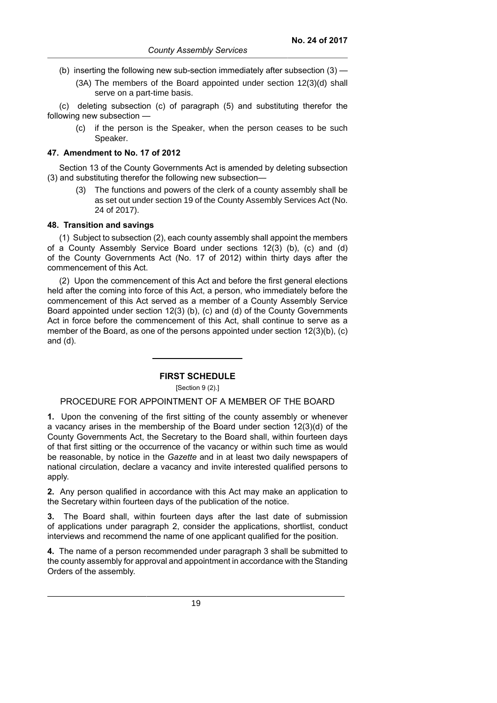- (b) inserting the following new sub-section immediately after subsection (3)
	- (3A) The members of the Board appointed under section 12(3)(d) shall serve on a part-time basis.

(c) deleting subsection (c) of paragraph (5) and substituting therefor the following new subsection —

(c) if the person is the Speaker, when the person ceases to be such Speaker.

#### **47. Amendment to No. 17 of 2012**

Section 13 of the County Governments Act is amended by deleting subsection (3) and substituting therefor the following new subsection—

(3) The functions and powers of the clerk of a county assembly shall be as set out under section 19 of the County Assembly Services Act (No. 24 of 2017).

### **48. Transition and savings**

(1) Subject to subsection (2), each county assembly shall appoint the members of a County Assembly Service Board under sections 12(3) (b), (c) and (d) of the County Governments Act (No. 17 of 2012) within thirty days after the commencement of this Act.

(2) Upon the commencement of this Act and before the first general elections held after the coming into force of this Act, a person, who immediately before the commencement of this Act served as a member of a County Assembly Service Board appointed under section 12(3) (b), (c) and (d) of the County Governments Act in force before the commencement of this Act, shall continue to serve as a member of the Board, as one of the persons appointed under section 12(3)(b), (c) and (d).

#### **FIRST SCHEDULE**

[Section 9 (2).]

## PROCEDURE FOR APPOINTMENT OF A MEMBER OF THE BOARD

**1.** Upon the convening of the first sitting of the county assembly or whenever a vacancy arises in the membership of the Board under section 12(3)(d) of the County Governments Act, the Secretary to the Board shall, within fourteen days of that first sitting or the occurrence of the vacancy or within such time as would be reasonable, by notice in the *Gazette* and in at least two daily newspapers of national circulation, declare a vacancy and invite interested qualified persons to apply.

**2.** Any person qualified in accordance with this Act may make an application to the Secretary within fourteen days of the publication of the notice.

**3.** The Board shall, within fourteen days after the last date of submission of applications under paragraph 2, consider the applications, shortlist, conduct interviews and recommend the name of one applicant qualified for the position.

**4.** The name of a person recommended under paragraph 3 shall be submitted to the county assembly for approval and appointment in accordance with the Standing Orders of the assembly.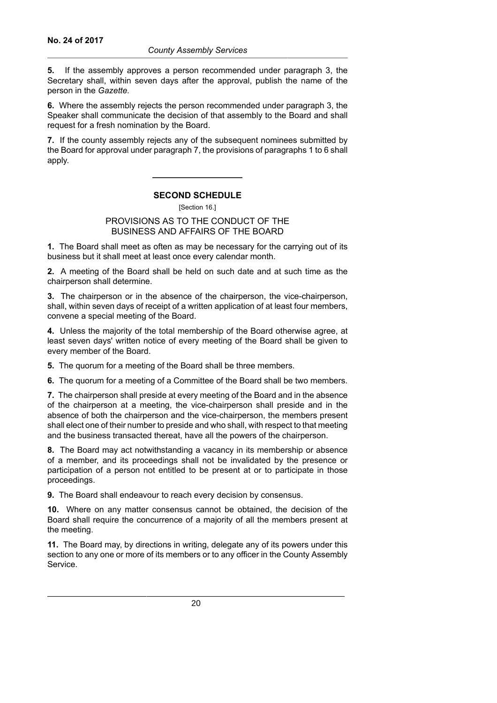**5.** If the assembly approves a person recommended under paragraph 3, the Secretary shall, within seven days after the approval, publish the name of the person in the *Gazette.*

**6.** Where the assembly rejects the person recommended under paragraph 3, the Speaker shall communicate the decision of that assembly to the Board and shall request for a fresh nomination by the Board.

**7.** If the county assembly rejects any of the subsequent nominees submitted by the Board for approval under paragraph 7, the provisions of paragraphs 1 to 6 shall apply.

## **SECOND SCHEDULE**

## PROVISIONS AS TO THE CONDUCT OF THE BUSINESS AND AFFAIRS OF THE BOARD

**1.** The Board shall meet as often as may be necessary for the carrying out of its business but it shall meet at least once every calendar month.

**2.** A meeting of the Board shall be held on such date and at such time as the chairperson shall determine.

**3.** The chairperson or in the absence of the chairperson, the vice-chairperson, shall, within seven days of receipt of a written application of at least four members, convene a special meeting of the Board.

**4.** Unless the majority of the total membership of the Board otherwise agree, at least seven days' written notice of every meeting of the Board shall be given to every member of the Board.

**5.** The quorum for a meeting of the Board shall be three members.

**6.** The quorum for a meeting of a Committee of the Board shall be two members.

**7.** The chairperson shall preside at every meeting of the Board and in the absence of the chairperson at a meeting, the vice-chairperson shall preside and in the absence of both the chairperson and the vice-chairperson, the members present shall elect one of their number to preside and who shall, with respect to that meeting and the business transacted thereat, have all the powers of the chairperson.

**8.** The Board may act notwithstanding a vacancy in its membership or absence of a member, and its proceedings shall not be invalidated by the presence or participation of a person not entitled to be present at or to participate in those proceedings.

**9.** The Board shall endeavour to reach every decision by consensus.

**10.** Where on any matter consensus cannot be obtained, the decision of the Board shall require the concurrence of a majority of all the members present at the meeting.

**11.** The Board may, by directions in writing, delegate any of its powers under this section to any one or more of its members or to any officer in the County Assembly Service.

<sup>[</sup>Section 16.]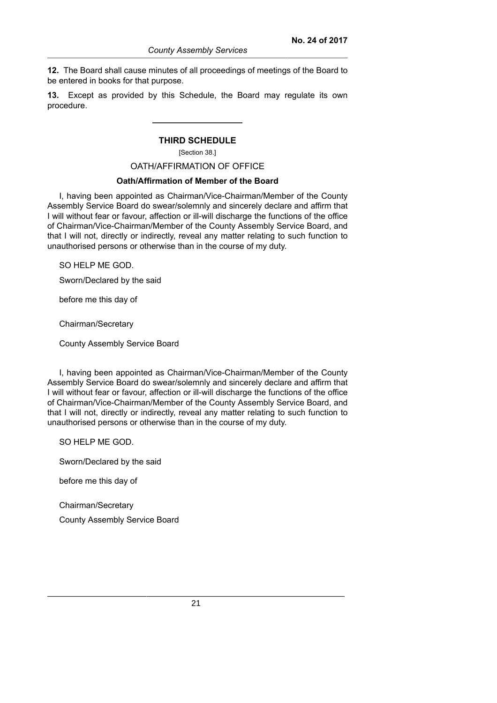**12.** The Board shall cause minutes of all proceedings of meetings of the Board to be entered in books for that purpose.

**13.** Except as provided by this Schedule, the Board may regulate its own procedure.

#### **THIRD SCHEDULE**

[Section 38.]

#### OATH/AFFIRMATION OF OFFICE

#### **Oath/Affirmation of Member of the Board**

I, having been appointed as Chairman/Vice-Chairman/Member of the County Assembly Service Board do swear/solemnly and sincerely declare and affirm that I will without fear or favour, affection or ill-will discharge the functions of the office of Chairman/Vice-Chairman/Member of the County Assembly Service Board, and that I will not, directly or indirectly, reveal any matter relating to such function to unauthorised persons or otherwise than in the course of my duty.

SO HELP ME GOD.

Sworn/Declared by the said

before me this day of

Chairman/Secretary

County Assembly Service Board

I, having been appointed as Chairman/Vice-Chairman/Member of the County Assembly Service Board do swear/solemnly and sincerely declare and affirm that I will without fear or favour, affection or ill-will discharge the functions of the office of Chairman/Vice-Chairman/Member of the County Assembly Service Board, and that I will not, directly or indirectly, reveal any matter relating to such function to unauthorised persons or otherwise than in the course of my duty.

SO HELP ME GOD.

Sworn/Declared by the said

before me this day of

Chairman/Secretary

County Assembly Service Board